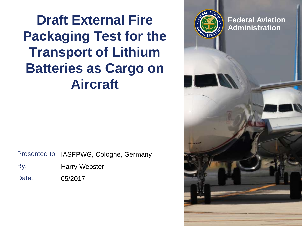**Draft External Fire Packaging Test for the Transport of Lithium Batteries as Cargo on Aircraft**

Presented to: IASFPWG, Cologne, Germany

| <b>Harry Webster</b> | By: |
|----------------------|-----|
|                      |     |

Date: 05/2017

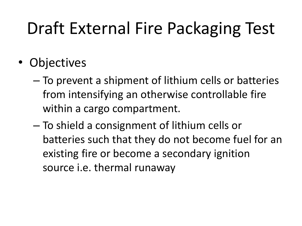# Draft External Fire Packaging Test

- Objectives
	- To prevent a shipment of lithium cells or batteries from intensifying an otherwise controllable fire within a cargo compartment.
	- To shield a consignment of lithium cells or batteries such that they do not become fuel for an existing fire or become a secondary ignition source i.e. thermal runaway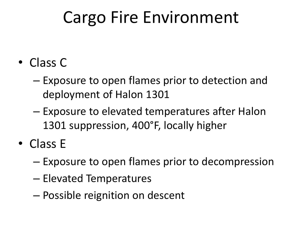## Cargo Fire Environment

- Class C
	- Exposure to open flames prior to detection and deployment of Halon 1301
	- Exposure to elevated temperatures after Halon 1301 suppression, 400°F, locally higher
- Class E
	- Exposure to open flames prior to decompression
	- Elevated Temperatures
	- Possible reignition on descent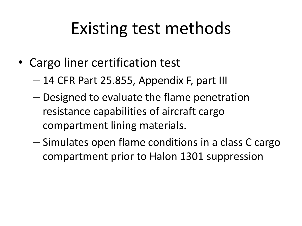## Existing test methods

- Cargo liner certification test
	- 14 CFR Part 25.855, Appendix F, part III
	- Designed to evaluate the flame penetration resistance capabilities of aircraft cargo compartment lining materials.
	- Simulates open flame conditions in a class C cargo compartment prior to Halon 1301 suppression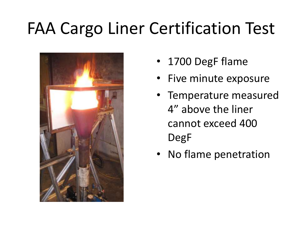# FAA Cargo Liner Certification Test



- 1700 DegF flame
- Five minute exposure
- Temperature measured 4" above the liner cannot exceed 400 DegF
- No flame penetration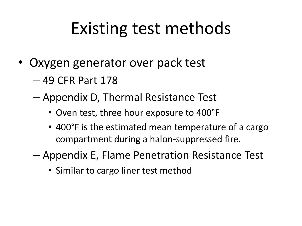## Existing test methods

- Oxygen generator over pack test
	- 49 CFR Part 178
	- Appendix D, Thermal Resistance Test
		- Oven test, three hour exposure to 400°F
		- 400°F is the estimated mean temperature of a cargo compartment during a halon-suppressed fire.
	- Appendix E, Flame Penetration Resistance Test
		- Similar to cargo liner test method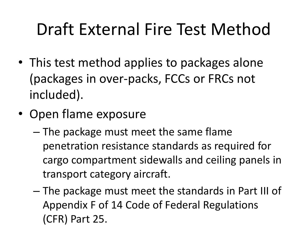# Draft External Fire Test Method

- This test method applies to packages alone (packages in over-packs, FCCs or FRCs not included).
- Open flame exposure
	- The package must meet the same flame penetration resistance standards as required for cargo compartment sidewalls and ceiling panels in transport category aircraft.
	- The package must meet the standards in Part III of Appendix F of 14 Code of Federal Regulations (CFR) Part 25.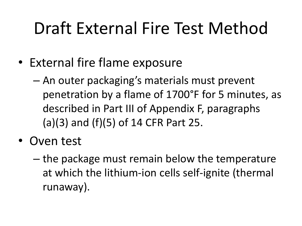# Draft External Fire Test Method

- External fire flame exposure
	- An outer packaging's materials must prevent penetration by a flame of 1700°F for 5 minutes, as described in Part III of Appendix F, paragraphs (a)(3) and (f)(5) of 14 CFR Part 25.
- Oven test
	- the package must remain below the temperature at which the lithium-ion cells self-ignite (thermal runaway).